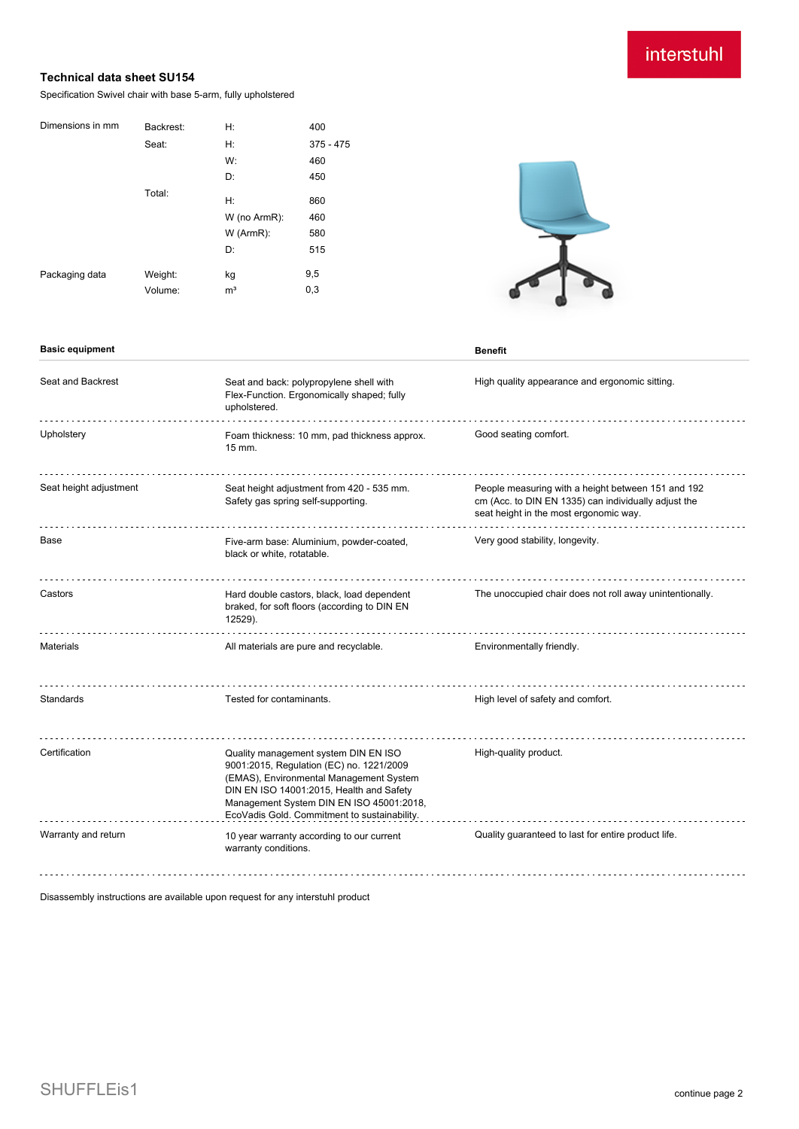# interstuhl

## **Technical data sheet SU154**

Specification Swivel chair with base 5-arm, fully upholstered

| Dimensions in mm | Backrest: | H:             | 400         |
|------------------|-----------|----------------|-------------|
|                  | Seat:     | Н:             | $375 - 475$ |
|                  |           | W:             | 460         |
|                  |           | D:             | 450         |
|                  | Total:    | H:             | 860         |
|                  |           | W (no ArmR):   | 460         |
|                  |           | W (ArmR):      | 580         |
|                  |           | D:             | 515         |
| Packaging data   | Weight:   | kg             | 9,5         |
|                  | Volume:   | m <sup>3</sup> | 0,3         |



### **Basic equipment Benefit**

| Seat and Backrest      | Seat and back: polypropylene shell with<br>Flex-Function. Ergonomically shaped; fully<br>upholstered.                                                                                                                                                               | High quality appearance and ergonomic sitting.                                                                                                       |
|------------------------|---------------------------------------------------------------------------------------------------------------------------------------------------------------------------------------------------------------------------------------------------------------------|------------------------------------------------------------------------------------------------------------------------------------------------------|
| Upholstery             | Foam thickness: 10 mm, pad thickness approx.<br>$15$ mm.                                                                                                                                                                                                            | Good seating comfort.                                                                                                                                |
| Seat height adjustment | Seat height adjustment from 420 - 535 mm.<br>Safety gas spring self-supporting.                                                                                                                                                                                     | People measuring with a height between 151 and 192<br>cm (Acc. to DIN EN 1335) can individually adjust the<br>seat height in the most ergonomic way. |
| Base                   | Five-arm base: Aluminium, powder-coated,<br>black or white, rotatable.                                                                                                                                                                                              | Very good stability, longevity.                                                                                                                      |
| Castors                | Hard double castors, black, load dependent<br>braked, for soft floors (according to DIN EN<br>12529).                                                                                                                                                               | The unoccupied chair does not roll away unintentionally.                                                                                             |
| <b>Materials</b>       | All materials are pure and recyclable.                                                                                                                                                                                                                              | Environmentally friendly.                                                                                                                            |
| Standards              | Tested for contaminants.                                                                                                                                                                                                                                            | High level of safety and comfort.                                                                                                                    |
| Certification          | Quality management system DIN EN ISO<br>9001:2015, Regulation (EC) no. 1221/2009<br>(EMAS), Environmental Management System<br>DIN EN ISO 14001:2015, Health and Safety<br>Management System DIN EN ISO 45001:2018,<br>EcoVadis Gold. Commitment to sustainability. | High-quality product.                                                                                                                                |
| Warranty and return    | 10 year warranty according to our current<br>warranty conditions.                                                                                                                                                                                                   | Quality guaranteed to last for entire product life.                                                                                                  |
|                        |                                                                                                                                                                                                                                                                     |                                                                                                                                                      |

Disassembly instructions are available upon request for any interstuhl product